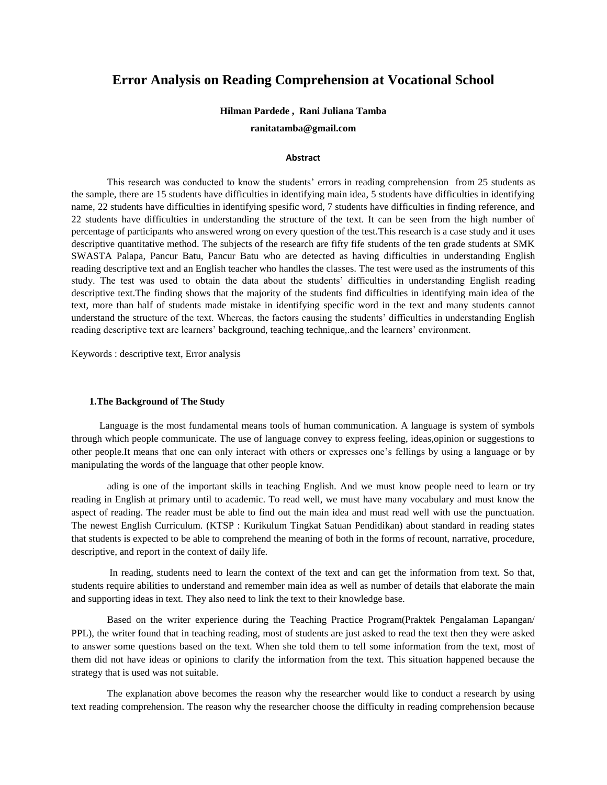# **Error Analysis on Reading Comprehension at Vocational School**

#### **Hilman Pardede , Rani Juliana Tamba**

**ranitatamba@gmail.com**

#### **Abstract**

This research was conducted to know the students' errors in reading comprehension from 25 students as the sample, there are 15 students have difficulties in identifying main idea, 5 students have difficulties in identifying name, 22 students have difficulties in identifying spesific word, 7 students have difficulties in finding reference, and 22 students have difficulties in understanding the structure of the text. It can be seen from the high number of percentage of participants who answered wrong on every question of the test.This research is a case study and it uses descriptive quantitative method. The subjects of the research are fifty fife students of the ten grade students at SMK SWASTA Palapa, Pancur Batu, Pancur Batu who are detected as having difficulties in understanding English reading descriptive text and an English teacher who handles the classes. The test were used as the instruments of this study. The test was used to obtain the data about the students' difficulties in understanding English reading descriptive text.The finding shows that the majority of the students find difficulties in identifying main idea of the text, more than half of students made mistake in identifying specific word in the text and many students cannot understand the structure of the text. Whereas, the factors causing the students' difficulties in understanding English reading descriptive text are learners' background, teaching technique,.and the learners' environment.

Keywords : descriptive text, Error analysis

#### **1.The Background of The Study**

Language is the most fundamental means tools of human communication. A language is system of symbols through which people communicate. The use of language convey to express feeling, ideas,opinion or suggestions to other people.It means that one can only interact with others or expresses one's fellings by using a language or by manipulating the words of the language that other people know.

ading is one of the important skills in teaching English. And we must know people need to learn or try reading in English at primary until to academic. To read well, we must have many vocabulary and must know the aspect of reading. The reader must be able to find out the main idea and must read well with use the punctuation. The newest English Curriculum. (KTSP : Kurikulum Tingkat Satuan Pendidikan) about standard in reading states that students is expected to be able to comprehend the meaning of both in the forms of recount, narrative, procedure, descriptive, and report in the context of daily life.

In reading, students need to learn the context of the text and can get the information from text. So that, students require abilities to understand and remember main idea as well as number of details that elaborate the main and supporting ideas in text. They also need to link the text to their knowledge base.

Based on the writer experience during the Teaching Practice Program(Praktek Pengalaman Lapangan/ PPL), the writer found that in teaching reading, most of students are just asked to read the text then they were asked to answer some questions based on the text. When she told them to tell some information from the text, most of them did not have ideas or opinions to clarify the information from the text. This situation happened because the strategy that is used was not suitable.

The explanation above becomes the reason why the researcher would like to conduct a research by using text reading comprehension. The reason why the researcher choose the difficulty in reading comprehension because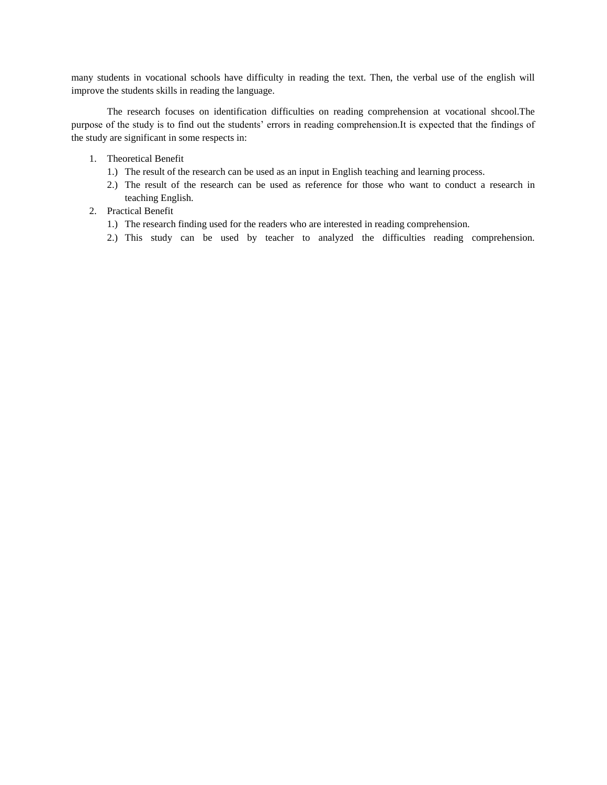many students in vocational schools have difficulty in reading the text. Then, the verbal use of the english will improve the students skills in reading the language.

The research focuses on identification difficulties on reading comprehension at vocational shcool.The purpose of the study is to find out the students' errors in reading comprehension.It is expected that the findings of the study are significant in some respects in:

- 1. Theoretical Benefit
	- 1.) The result of the research can be used as an input in English teaching and learning process.
	- 2.) The result of the research can be used as reference for those who want to conduct a research in teaching English.
- 2. Practical Benefit
	- 1.) The research finding used for the readers who are interested in reading comprehension.
	- 2.) This study can be used by teacher to analyzed the difficulties reading comprehension.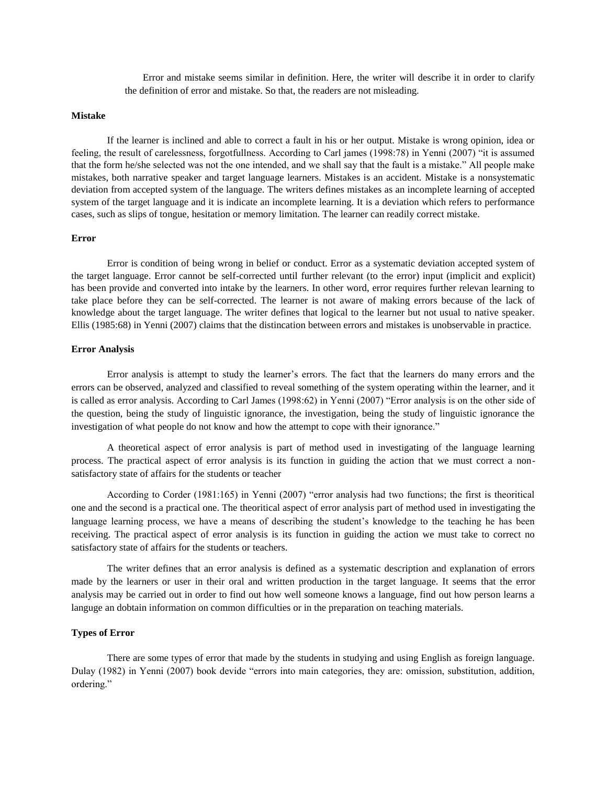Error and mistake seems similar in definition. Here, the writer will describe it in order to clarify the definition of error and mistake. So that, the readers are not misleading.

### **Mistake**

If the learner is inclined and able to correct a fault in his or her output. Mistake is wrong opinion, idea or feeling, the result of carelessness, forgotfullness. According to Carl james (1998:78) in Yenni (2007) "it is assumed that the form he/she selected was not the one intended, and we shall say that the fault is a mistake." All people make mistakes, both narrative speaker and target language learners. Mistakes is an accident. Mistake is a nonsystematic deviation from accepted system of the language. The writers defines mistakes as an incomplete learning of accepted system of the target language and it is indicate an incomplete learning. It is a deviation which refers to performance cases, such as slips of tongue, hesitation or memory limitation. The learner can readily correct mistake.

#### **Error**

Error is condition of being wrong in belief or conduct. Error as a systematic deviation accepted system of the target language. Error cannot be self-corrected until further relevant (to the error) input (implicit and explicit) has been provide and converted into intake by the learners. In other word, error requires further relevan learning to take place before they can be self-corrected. The learner is not aware of making errors because of the lack of knowledge about the target language. The writer defines that logical to the learner but not usual to native speaker. Ellis (1985:68) in Yenni (2007) claims that the distincation between errors and mistakes is unobservable in practice.

# **Error Analysis**

Error analysis is attempt to study the learner's errors. The fact that the learners do many errors and the errors can be observed, analyzed and classified to reveal something of the system operating within the learner, and it is called as error analysis. According to Carl James (1998:62) in Yenni (2007) "Error analysis is on the other side of the question, being the study of linguistic ignorance, the investigation, being the study of linguistic ignorance the investigation of what people do not know and how the attempt to cope with their ignorance."

A theoretical aspect of error analysis is part of method used in investigating of the language learning process. The practical aspect of error analysis is its function in guiding the action that we must correct a nonsatisfactory state of affairs for the students or teacher

According to Corder (1981:165) in Yenni (2007) "error analysis had two functions; the first is theoritical one and the second is a practical one. The theoritical aspect of error analysis part of method used in investigating the language learning process, we have a means of describing the student's knowledge to the teaching he has been receiving. The practical aspect of error analysis is its function in guiding the action we must take to correct no satisfactory state of affairs for the students or teachers.

The writer defines that an error analysis is defined as a systematic description and explanation of errors made by the learners or user in their oral and written production in the target language. It seems that the error analysis may be carried out in order to find out how well someone knows a language, find out how person learns a languge an dobtain information on common difficulties or in the preparation on teaching materials.

# **Types of Error**

There are some types of error that made by the students in studying and using English as foreign language. Dulay (1982) in Yenni (2007) book devide "errors into main categories, they are: omission, substitution, addition, ordering."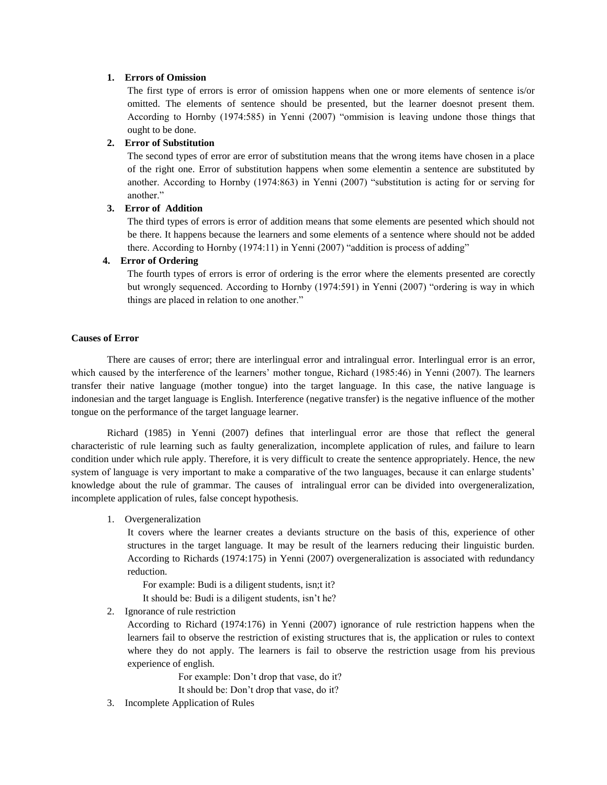### **1. Errors of Omission**

The first type of errors is error of omission happens when one or more elements of sentence is/or omitted. The elements of sentence should be presented, but the learner doesnot present them. According to Hornby (1974:585) in Yenni (2007) "ommision is leaving undone those things that ought to be done.

# **2. Error of Substitution**

The second types of error are error of substitution means that the wrong items have chosen in a place of the right one. Error of substitution happens when some elementin a sentence are substituted by another. According to Hornby (1974:863) in Yenni (2007) "substitution is acting for or serving for another."

# **3. Error of Addition**

The third types of errors is error of addition means that some elements are pesented which should not be there. It happens because the learners and some elements of a sentence where should not be added there. According to Hornby (1974:11) in Yenni (2007) "addition is process of adding"

# **4. Error of Ordering**

The fourth types of errors is error of ordering is the error where the elements presented are corectly but wrongly sequenced. According to Hornby (1974:591) in Yenni (2007) "ordering is way in which things are placed in relation to one another."

# **Causes of Error**

There are causes of error; there are interlingual error and intralingual error. Interlingual error is an error, which caused by the interference of the learners' mother tongue, Richard (1985:46) in Yenni (2007). The learners transfer their native language (mother tongue) into the target language. In this case, the native language is indonesian and the target language is English. Interference (negative transfer) is the negative influence of the mother tongue on the performance of the target language learner.

Richard (1985) in Yenni (2007) defines that interlingual error are those that reflect the general characteristic of rule learning such as faulty generalization, incomplete application of rules, and failure to learn condition under which rule apply. Therefore, it is very difficult to create the sentence appropriately. Hence, the new system of language is very important to make a comparative of the two languages, because it can enlarge students' knowledge about the rule of grammar. The causes of intralingual error can be divided into overgeneralization, incomplete application of rules, false concept hypothesis.

1. Overgeneralization

It covers where the learner creates a deviants structure on the basis of this, experience of other structures in the target language. It may be result of the learners reducing their linguistic burden. According to Richards (1974:175) in Yenni (2007) overgeneralization is associated with redundancy reduction.

For example: Budi is a diligent students, isn;t it? It should be: Budi is a diligent students, isn't he?

2. Ignorance of rule restriction

According to Richard (1974:176) in Yenni (2007) ignorance of rule restriction happens when the learners fail to observe the restriction of existing structures that is, the application or rules to context where they do not apply. The learners is fail to observe the restriction usage from his previous experience of english.

> For example: Don't drop that vase, do it? It should be: Don't drop that vase, do it?

3. Incomplete Application of Rules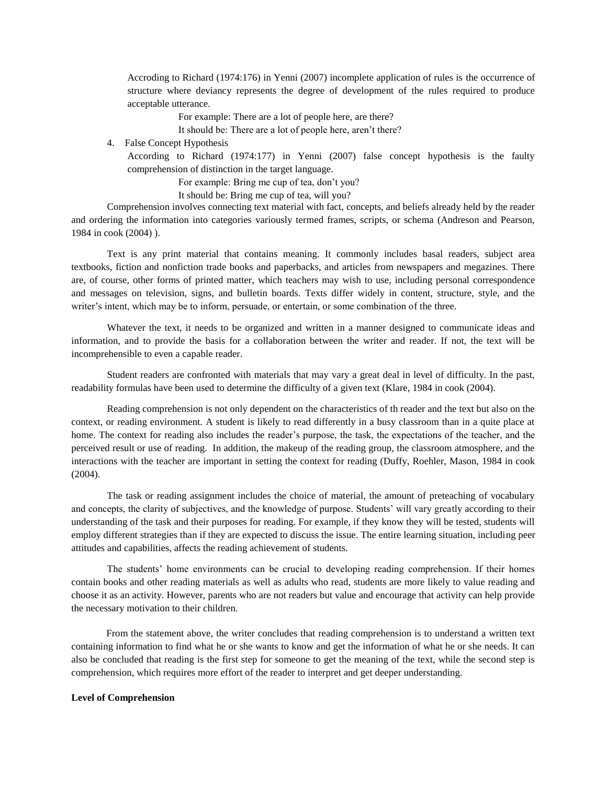Accroding to Richard (1974:176) in Yenni (2007) incomplete application of rules is the occurrence of structure where deviancy represents the degree of development of the rules required to produce acceptable utterance.

For example: There are a lot of people here, are there?

It should be: There are a lot of people here, aren't there?

4. False Concept Hypothesis

According to Richard (1974:177) in Yenni (2007) false concept hypothesis is the faulty comprehension of distinction in the target language.

For example: Bring me cup of tea, don't you?

It should be: Bring me cup of tea, will you?

Comprehension involves connecting text material with fact, concepts, and beliefs already held by the reader and ordering the information into categories variously termed frames, scripts, or schema (Andreson and Pearson, 1984 in cook (2004) ).

Text is any print material that contains meaning. It commonly includes basal readers, subject area textbooks, fiction and nonfiction trade books and paperbacks, and articles from newspapers and megazines. There are, of course, other forms of printed matter, which teachers may wish to use, including personal correspondence and messages on television, signs, and bulletin boards. Texts differ widely in content, structure, style, and the writer's intent, which may be to inform, persuade, or entertain, or some combination of the three.

Whatever the text, it needs to be organized and written in a manner designed to communicate ideas and information, and to provide the basis for a collaboration between the writer and reader. If not, the text will be incomprehensible to even a capable reader.

Student readers are confronted with materials that may vary a great deal in level of difficulty. In the past, readability formulas have been used to determine the difficulty of a given text (Klare, 1984 in cook (2004).

Reading comprehension is not only dependent on the characteristics of th reader and the text but also on the context, or reading environment. A student is likely to read differently in a busy classroom than in a quite place at home. The context for reading also includes the reader's purpose, the task, the expectations of the teacher, and the perceived result or use of reading. In addition, the makeup of the reading group, the classroom atmosphere, and the interactions with the teacher are important in setting the context for reading (Duffy, Roehler, Mason, 1984 in cook (2004).

The task or reading assignment includes the choice of material, the amount of preteaching of vocabulary and concepts, the clarity of subjectives, and the knowledge of purpose. Students' will vary greatly according to their understanding of the task and their purposes for reading. For example, if they know they will be tested, students will employ different strategies than if they are expected to discuss the issue. The entire learning situation, including peer attitudes and capabilities, affects the reading achievement of students.

The students' home environments can be crucial to developing reading comprehension. If their homes contain books and other reading materials as well as adults who read, students are more likely to value reading and choose it as an activity. However, parents who are not readers but value and encourage that activity can help provide the necessary motivation to their children.

From the statement above, the writer concludes that reading comprehension is to understand a written text containing information to find what he or she wants to know and get the information of what he or she needs. It can also be concluded that reading is the first step for someone to get the meaning of the text, while the second step is comprehension, which requires more effort of the reader to interpret and get deeper understanding.

#### **Level of Comprehension**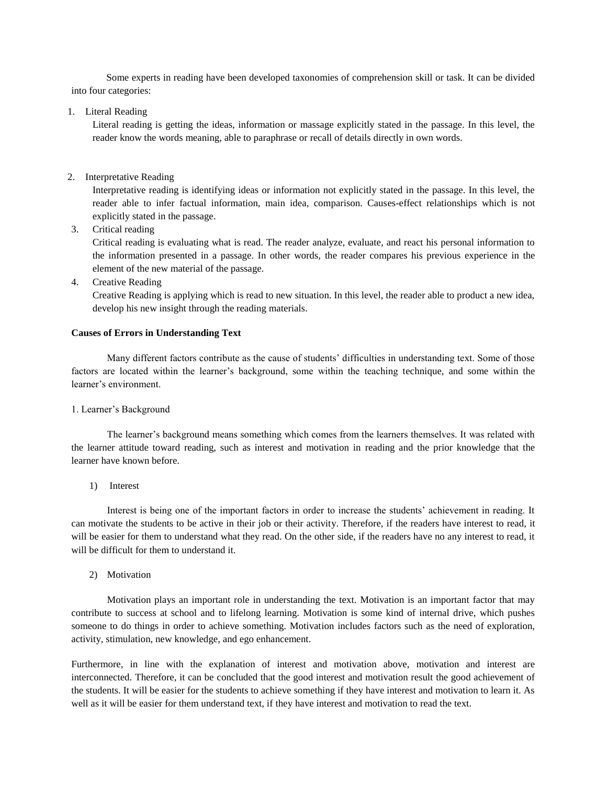Some experts in reading have been developed taxonomies of comprehension skill or task. It can be divided into four categories:

1. Literal Reading

Literal reading is getting the ideas, information or massage explicitly stated in the passage. In this level, the reader know the words meaning, able to paraphrase or recall of details directly in own words.

2. Interpretative Reading

Interpretative reading is identifying ideas or information not explicitly stated in the passage. In this level, the reader able to infer factual information, main idea, comparison. Causes-effect relationships which is not explicitly stated in the passage.

3. Critical reading

Critical reading is evaluating what is read. The reader analyze, evaluate, and react his personal information to the information presented in a passage. In other words, the reader compares his previous experience in the element of the new material of the passage.

4. Creative Reading

Creative Reading is applying which is read to new situation. In this level, the reader able to product a new idea, develop his new insight through the reading materials.

# **Causes of Errors in Understanding Text**

Many different factors contribute as the cause of students' difficulties in understanding text. Some of those factors are located within the learner's background, some within the teaching technique, and some within the learner's environment.

### 1. Learner's Background

The learner's background means something which comes from the learners themselves. It was related with the learner attitude toward reading, such as interest and motivation in reading and the prior knowledge that the learner have known before.

1) Interest

Interest is being one of the important factors in order to increase the students' achievement in reading. It can motivate the students to be active in their job or their activity. Therefore, if the readers have interest to read, it will be easier for them to understand what they read. On the other side, if the readers have no any interest to read, it will be difficult for them to understand it.

2) Motivation

Motivation plays an important role in understanding the text. Motivation is an important factor that may contribute to success at school and to lifelong learning. Motivation is some kind of internal drive, which pushes someone to do things in order to achieve something. Motivation includes factors such as the need of exploration, activity, stimulation, new knowledge, and ego enhancement.

Furthermore, in line with the explanation of interest and motivation above, motivation and interest are interconnected. Therefore, it can be concluded that the good interest and motivation result the good achievement of the students. It will be easier for the students to achieve something if they have interest and motivation to learn it. As well as it will be easier for them understand text, if they have interest and motivation to read the text.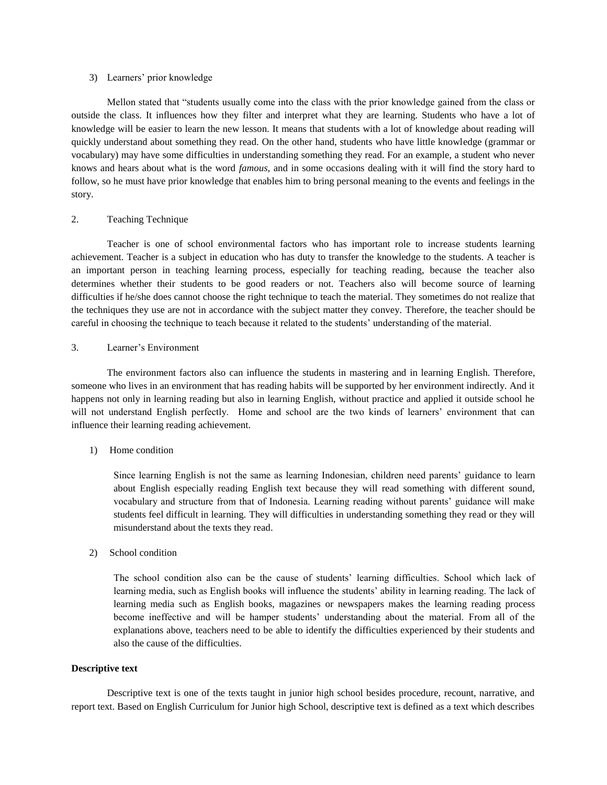### 3) Learners' prior knowledge

Mellon stated that "students usually come into the class with the prior knowledge gained from the class or outside the class. It influences how they filter and interpret what they are learning. Students who have a lot of knowledge will be easier to learn the new lesson. It means that students with a lot of knowledge about reading will quickly understand about something they read. On the other hand, students who have little knowledge (grammar or vocabulary) may have some difficulties in understanding something they read. For an example, a student who never knows and hears about what is the word *famous*, and in some occasions dealing with it will find the story hard to follow, so he must have prior knowledge that enables him to bring personal meaning to the events and feelings in the story.

# 2. Teaching Technique

Teacher is one of school environmental factors who has important role to increase students learning achievement. Teacher is a subject in education who has duty to transfer the knowledge to the students. A teacher is an important person in teaching learning process, especially for teaching reading, because the teacher also determines whether their students to be good readers or not. Teachers also will become source of learning difficulties if he/she does cannot choose the right technique to teach the material. They sometimes do not realize that the techniques they use are not in accordance with the subject matter they convey. Therefore, the teacher should be careful in choosing the technique to teach because it related to the students' understanding of the material.

# 3. Learner's Environment

The environment factors also can influence the students in mastering and in learning English. Therefore, someone who lives in an environment that has reading habits will be supported by her environment indirectly. And it happens not only in learning reading but also in learning English, without practice and applied it outside school he will not understand English perfectly. Home and school are the two kinds of learners' environment that can influence their learning reading achievement.

# 1) Home condition

Since learning English is not the same as learning Indonesian, children need parents' guidance to learn about English especially reading English text because they will read something with different sound, vocabulary and structure from that of Indonesia. Learning reading without parents' guidance will make students feel difficult in learning. They will difficulties in understanding something they read or they will misunderstand about the texts they read.

# 2) School condition

The school condition also can be the cause of students' learning difficulties. School which lack of learning media, such as English books will influence the students' ability in learning reading. The lack of learning media such as English books, magazines or newspapers makes the learning reading process become ineffective and will be hamper students' understanding about the material. From all of the explanations above, teachers need to be able to identify the difficulties experienced by their students and also the cause of the difficulties.

### **Descriptive text**

Descriptive text is one of the texts taught in junior high school besides procedure, recount, narrative, and report text. Based on English Curriculum for Junior high School, descriptive text is defined as a text which describes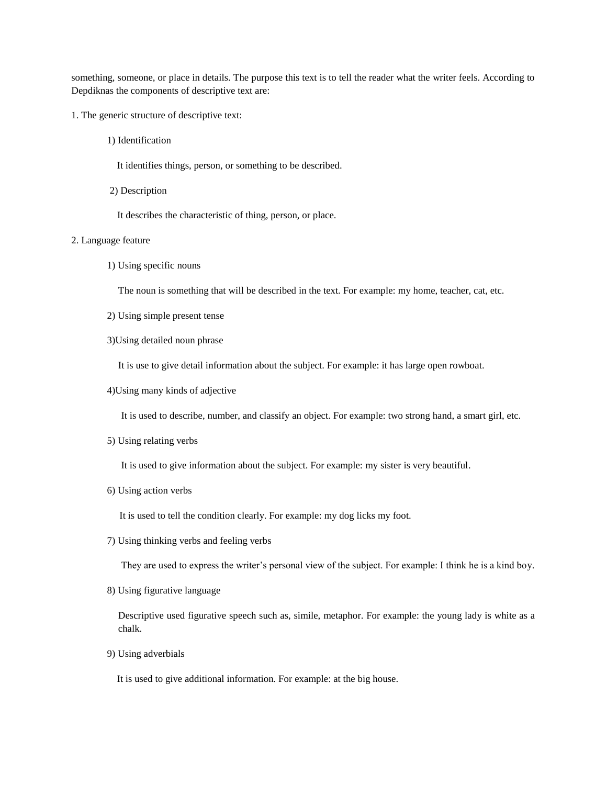something, someone, or place in details. The purpose this text is to tell the reader what the writer feels. According to Depdiknas the components of descriptive text are:

- 1. The generic structure of descriptive text:
	- 1) Identification
		- It identifies things, person, or something to be described.
	- 2) Description

It describes the characteristic of thing, person, or place.

# 2. Language feature

1) Using specific nouns

The noun is something that will be described in the text. For example: my home, teacher, cat, etc.

- 2) Using simple present tense
- 3)Using detailed noun phrase

It is use to give detail information about the subject. For example: it has large open rowboat.

4)Using many kinds of adjective

It is used to describe, number, and classify an object. For example: two strong hand, a smart girl, etc.

5) Using relating verbs

It is used to give information about the subject. For example: my sister is very beautiful.

6) Using action verbs

It is used to tell the condition clearly. For example: my dog licks my foot.

7) Using thinking verbs and feeling verbs

They are used to express the writer's personal view of the subject. For example: I think he is a kind boy.

8) Using figurative language

Descriptive used figurative speech such as, simile, metaphor. For example: the young lady is white as a chalk.

9) Using adverbials

It is used to give additional information. For example: at the big house.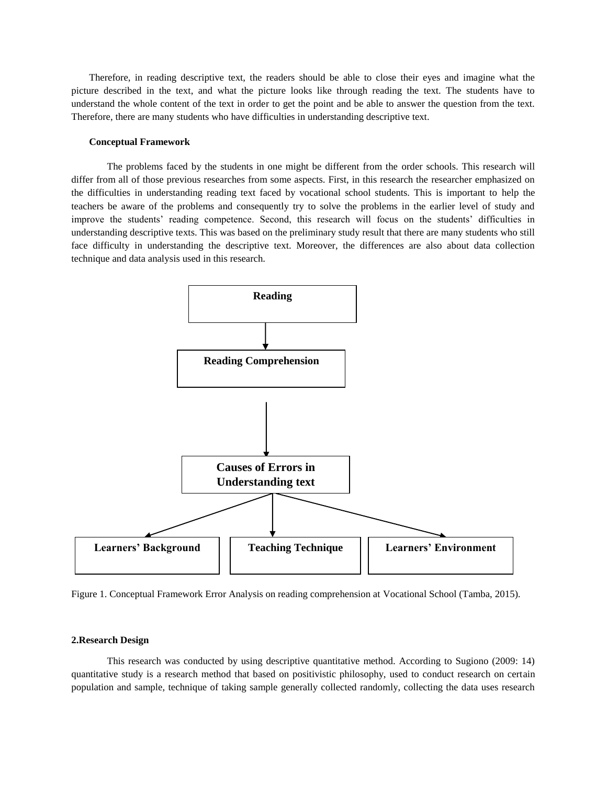Therefore, in reading descriptive text, the readers should be able to close their eyes and imagine what the picture described in the text, and what the picture looks like through reading the text. The students have to understand the whole content of the text in order to get the point and be able to answer the question from the text. Therefore, there are many students who have difficulties in understanding descriptive text.

#### **Conceptual Framework**

The problems faced by the students in one might be different from the order schools. This research will differ from all of those previous researches from some aspects. First, in this research the researcher emphasized on the difficulties in understanding reading text faced by vocational school students. This is important to help the teachers be aware of the problems and consequently try to solve the problems in the earlier level of study and improve the students' reading competence. Second, this research will focus on the students' difficulties in understanding descriptive texts. This was based on the preliminary study result that there are many students who still face difficulty in understanding the descriptive text. Moreover, the differences are also about data collection technique and data analysis used in this research.



Figure 1. Conceptual Framework Error Analysis on reading comprehension at Vocational School (Tamba, 2015).

#### **2.Research Design**

This research was conducted by using descriptive quantitative method. According to Sugiono (2009: 14) quantitative study is a research method that based on positivistic philosophy, used to conduct research on certain population and sample, technique of taking sample generally collected randomly, collecting the data uses research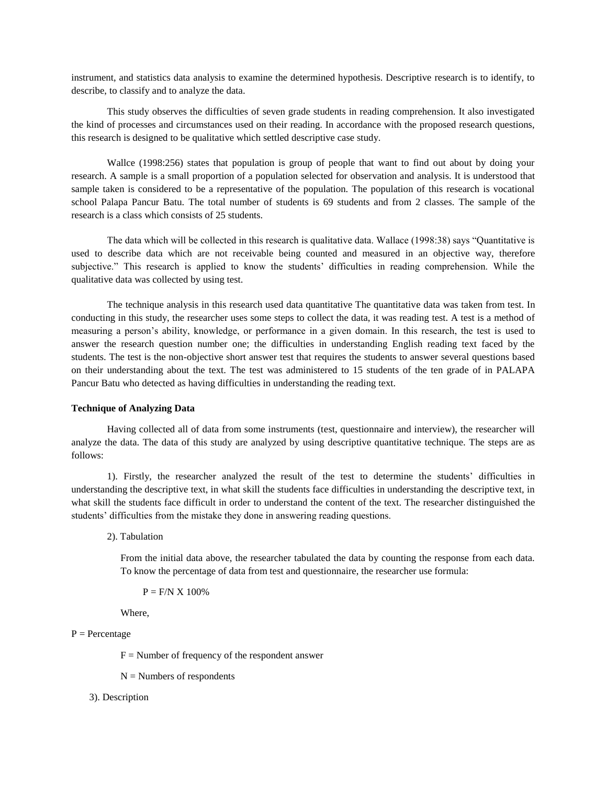instrument, and statistics data analysis to examine the determined hypothesis. Descriptive research is to identify, to describe, to classify and to analyze the data.

This study observes the difficulties of seven grade students in reading comprehension. It also investigated the kind of processes and circumstances used on their reading. In accordance with the proposed research questions, this research is designed to be qualitative which settled descriptive case study.

Wallce (1998:256) states that population is group of people that want to find out about by doing your research. A sample is a small proportion of a population selected for observation and analysis. It is understood that sample taken is considered to be a representative of the population. The population of this research is vocational school Palapa Pancur Batu. The total number of students is 69 students and from 2 classes. The sample of the research is a class which consists of 25 students.

The data which will be collected in this research is qualitative data. Wallace (1998:38) says "Quantitative is used to describe data which are not receivable being counted and measured in an objective way, therefore subjective." This research is applied to know the students' difficulties in reading comprehension. While the qualitative data was collected by using test.

The technique analysis in this research used data quantitative The quantitative data was taken from test. In conducting in this study, the researcher uses some steps to collect the data, it was reading test. A test is a method of measuring a person's ability, knowledge, or performance in a given domain. In this research, the test is used to answer the research question number one; the difficulties in understanding English reading text faced by the students. The test is the non-objective short answer test that requires the students to answer several questions based on their understanding about the text. The test was administered to 15 students of the ten grade of in PALAPA Pancur Batu who detected as having difficulties in understanding the reading text.

### **Technique of Analyzing Data**

Having collected all of data from some instruments (test, questionnaire and interview), the researcher will analyze the data. The data of this study are analyzed by using descriptive quantitative technique. The steps are as follows:

1). Firstly, the researcher analyzed the result of the test to determine the students' difficulties in understanding the descriptive text, in what skill the students face difficulties in understanding the descriptive text, in what skill the students face difficult in order to understand the content of the text. The researcher distinguished the students' difficulties from the mistake they done in answering reading questions.

2). Tabulation

From the initial data above, the researcher tabulated the data by counting the response from each data. To know the percentage of data from test and questionnaire, the researcher use formula:

 $P = F/N X 100\%$ 

Where,

# $P = Percentage$

 $F =$  Number of frequency of the respondent answer

 $N =$  Numbers of respondents

### 3). Description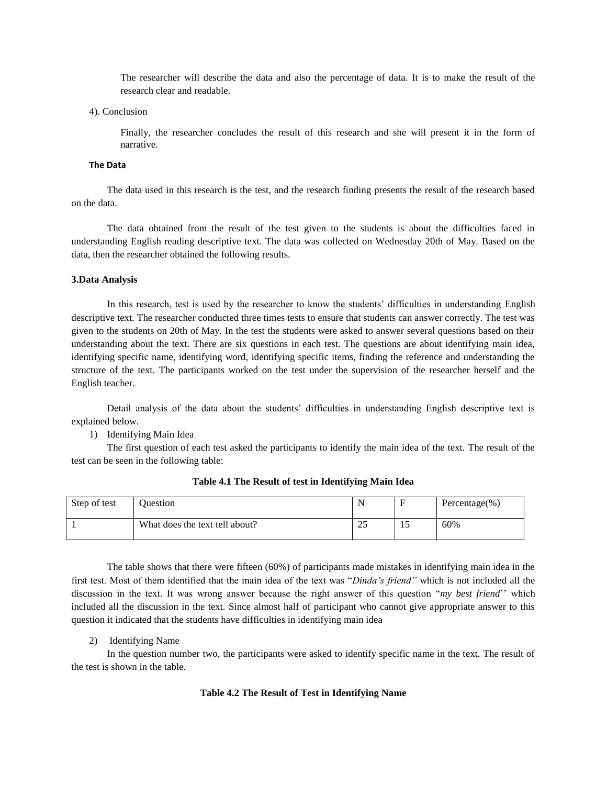The researcher will describe the data and also the percentage of data. It is to make the result of the research clear and readable.

4). Conclusion

Finally, the researcher concludes the result of this research and she will present it in the form of narrative.

#### **The Data**

The data used in this research is the test, and the research finding presents the result of the research based on the data.

The data obtained from the result of the test given to the students is about the difficulties faced in understanding English reading descriptive text. The data was collected on Wednesday 20th of May. Based on the data, then the researcher obtained the following results.

#### **3.Data Analysis**

In this research, test is used by the researcher to know the students' difficulties in understanding English descriptive text. The researcher conducted three times tests to ensure that students can answer correctly. The test was given to the students on 20th of May. In the test the students were asked to answer several questions based on their understanding about the text. There are six questions in each test. The questions are about identifying main idea, identifying specific name, identifying word, identifying specific items, finding the reference and understanding the structure of the text. The participants worked on the test under the supervision of the researcher herself and the English teacher.

Detail analysis of the data about the students' difficulties in understanding English descriptive text is explained below.

1) Identifying Main Idea

The first question of each test asked the participants to identify the main idea of the text. The result of the test can be seen in the following table:

| Step of test | <b>Duestion</b>                | N  |    | Percentage $(\% )$ |
|--------------|--------------------------------|----|----|--------------------|
|              | What does the text tell about? | 25 | 15 | 60%                |

### **Table 4.1 The Result of test in Identifying Main Idea**

The table shows that there were fifteen (60%) of participants made mistakes in identifying main idea in the first test. Most of them identified that the main idea of the text was "*Dinda's friend"* which is not included all the discussion in the text. It was wrong answer because the right answer of this question "*my best friend*'' which included all the discussion in the text. Since almost half of participant who cannot give appropriate answer to this question it indicated that the students have difficulties in identifying main idea

### 2) Identifying Name

In the question number two, the participants were asked to identify specific name in the text. The result of the test is shown in the table.

### **Table 4.2 The Result of Test in Identifying Name**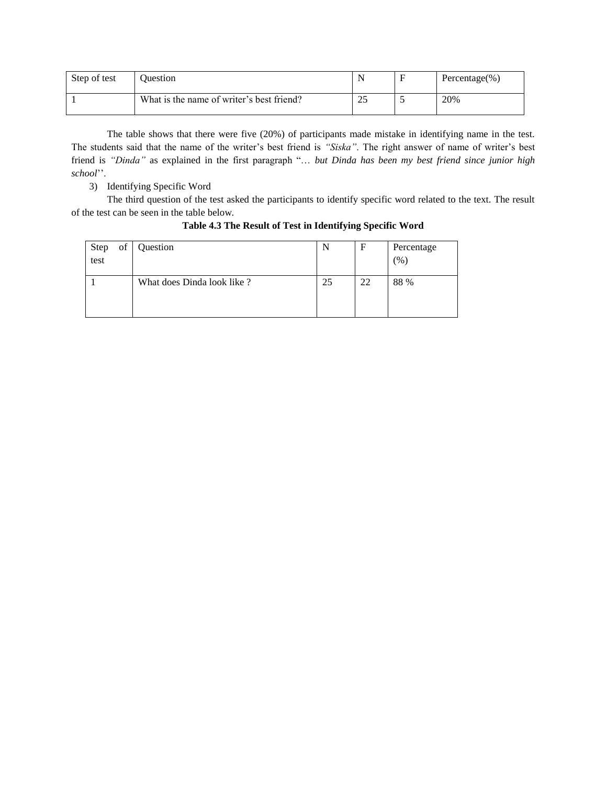| Step of test | <b>Duestion</b>                           | N        | Percentage $(\% )$ |
|--------------|-------------------------------------------|----------|--------------------|
|              | What is the name of writer's best friend? | つち<br>سە | 20%                |

The table shows that there were five (20%) of participants made mistake in identifying name in the test. The students said that the name of the writer's best friend is *"Siska"*. The right answer of name of writer's best friend is *"Dinda"* as explained in the first paragraph "… *but Dinda has been my best friend since junior high school*''.

3) Identifying Specific Word

The third question of the test asked the participants to identify specific word related to the text. The result of the test can be seen in the table below.

| of<br>Step<br>test | Question                   | N  | F  | Percentage<br>$\frac{9}{6}$ |
|--------------------|----------------------------|----|----|-----------------------------|
|                    | What does Dinda look like? | 25 | 22 | 88 %                        |

**Table 4.3 The Result of Test in Identifying Specific Word**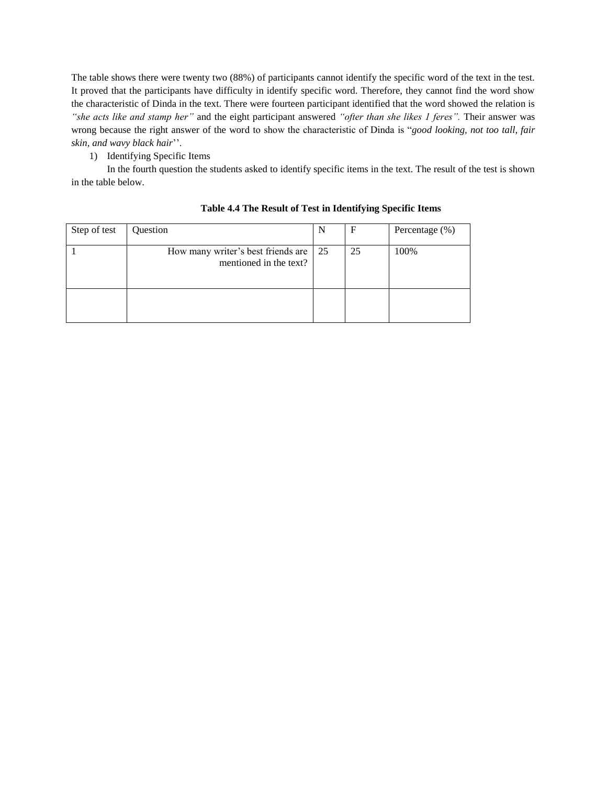The table shows there were twenty two (88%) of participants cannot identify the specific word of the text in the test. It proved that the participants have difficulty in identify specific word. Therefore, they cannot find the word show the characteristic of Dinda in the text. There were fourteen participant identified that the word showed the relation is *"she acts like and stamp her"* and the eight participant answered *"ofter than she likes 1 feres".* Their answer was wrong because the right answer of the word to show the characteristic of Dinda is "*good looking, not too tall, fair skin, and wavy black hair*''.

1) Identifying Specific Items

In the fourth question the students asked to identify specific items in the text. The result of the test is shown in the table below.

| Step of test | Question                                                        | N | F  | Percentage $(\%)$ |
|--------------|-----------------------------------------------------------------|---|----|-------------------|
|              | How many writer's best friends are 25<br>mentioned in the text? |   | 25 | 100%              |
|              |                                                                 |   |    |                   |

# **Table 4.4 The Result of Test in Identifying Specific Items**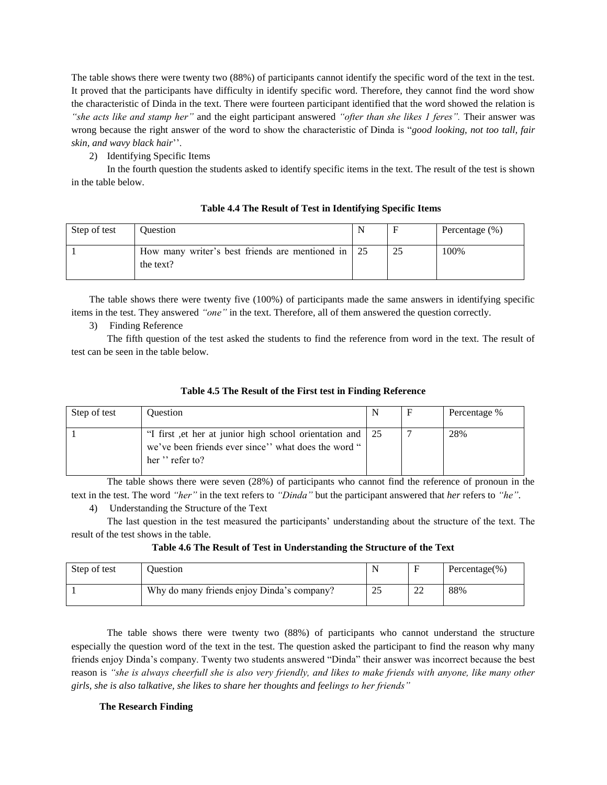The table shows there were twenty two (88%) of participants cannot identify the specific word of the text in the test. It proved that the participants have difficulty in identify specific word. Therefore, they cannot find the word show the characteristic of Dinda in the text. There were fourteen participant identified that the word showed the relation is *"she acts like and stamp her"* and the eight participant answered *"ofter than she likes 1 feres".* Their answer was wrong because the right answer of the word to show the characteristic of Dinda is "*good looking, not too tall, fair skin, and wavy black hair*''.

2) Identifying Specific Items

In the fourth question the students asked to identify specific items in the text. The result of the test is shown in the table below.

| Step of test | Ouestion                                                        | N | Percentage $(\%)$ |
|--------------|-----------------------------------------------------------------|---|-------------------|
|              | How many writer's best friends are mentioned in 25<br>the text? |   | 100%              |

# **Table 4.4 The Result of Test in Identifying Specific Items**

The table shows there were twenty five (100%) of participants made the same answers in identifying specific items in the test. They answered *"one"* in the text. Therefore, all of them answered the question correctly.

3) Finding Reference

The fifth question of the test asked the students to find the reference from word in the text. The result of test can be seen in the table below.

| Table 4.5 The Result of the First test in Finding Reference |
|-------------------------------------------------------------|
|-------------------------------------------------------------|

| Step of test | <b>Ouestion</b>                                                                                                                    | N | F | Percentage % |
|--------------|------------------------------------------------------------------------------------------------------------------------------------|---|---|--------------|
|              | "I first et her at junior high school orientation and 25<br>we've been friends ever since'' what does the word "<br>her "refer to? |   |   | 28%          |

The table shows there were seven (28%) of participants who cannot find the reference of pronoun in the text in the test. The word *"her"* in the text refers to *"Dinda"* but the participant answered that *her* refers to *"he"*.

4) Understanding the Structure of the Text

The last question in the test measured the participants' understanding about the structure of the text. The result of the test shows in the table.

**Table 4.6 The Result of Test in Understanding the Structure of the Text**

| Step of test | <b>Duestion</b>                            |                |         | Percentage $(\% )$ |
|--------------|--------------------------------------------|----------------|---------|--------------------|
|              | Why do many friends enjoy Dinda's company? | $\gamma$<br>∠~ | ാ<br>∠∠ | 88%                |

The table shows there were twenty two (88%) of participants who cannot understand the structure especially the question word of the text in the test. The question asked the participant to find the reason why many friends enjoy Dinda's company. Twenty two students answered "Dinda" their answer was incorrect because the best reason is *"she is always cheerfull she is also very friendly, and likes to make friends with anyone, like many other girls, she is also talkative, she likes to share her thoughts and feelings to her friends"*

# **The Research Finding**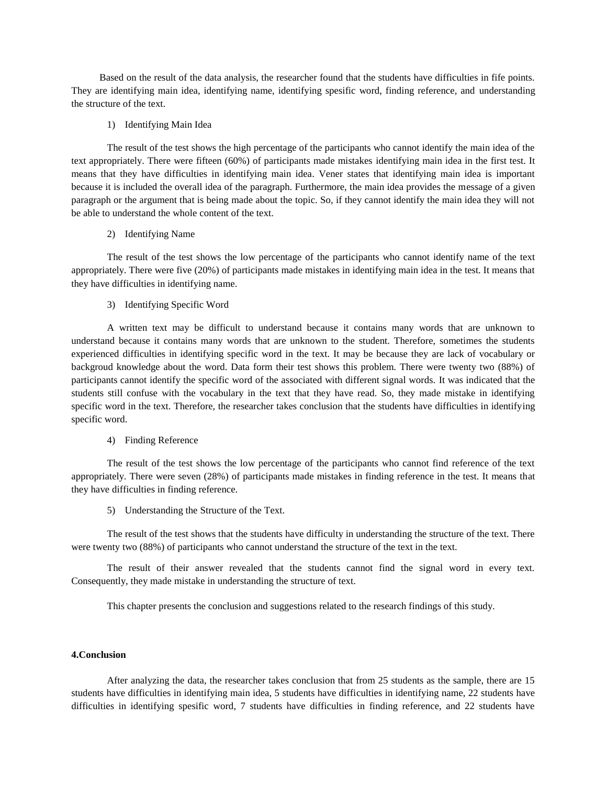Based on the result of the data analysis, the researcher found that the students have difficulties in fife points. They are identifying main idea, identifying name, identifying spesific word, finding reference, and understanding the structure of the text.

#### 1) Identifying Main Idea

The result of the test shows the high percentage of the participants who cannot identify the main idea of the text appropriately. There were fifteen (60%) of participants made mistakes identifying main idea in the first test. It means that they have difficulties in identifying main idea. Vener states that identifying main idea is important because it is included the overall idea of the paragraph. Furthermore, the main idea provides the message of a given paragraph or the argument that is being made about the topic. So, if they cannot identify the main idea they will not be able to understand the whole content of the text.

#### 2) Identifying Name

The result of the test shows the low percentage of the participants who cannot identify name of the text appropriately. There were five (20%) of participants made mistakes in identifying main idea in the test. It means that they have difficulties in identifying name.

3) Identifying Specific Word

A written text may be difficult to understand because it contains many words that are unknown to understand because it contains many words that are unknown to the student. Therefore, sometimes the students experienced difficulties in identifying specific word in the text. It may be because they are lack of vocabulary or backgroud knowledge about the word. Data form their test shows this problem. There were twenty two (88%) of participants cannot identify the specific word of the associated with different signal words. It was indicated that the students still confuse with the vocabulary in the text that they have read. So, they made mistake in identifying specific word in the text. Therefore, the researcher takes conclusion that the students have difficulties in identifying specific word.

# 4) Finding Reference

The result of the test shows the low percentage of the participants who cannot find reference of the text appropriately. There were seven (28%) of participants made mistakes in finding reference in the test. It means that they have difficulties in finding reference.

5) Understanding the Structure of the Text.

The result of the test shows that the students have difficulty in understanding the structure of the text. There were twenty two (88%) of participants who cannot understand the structure of the text in the text.

The result of their answer revealed that the students cannot find the signal word in every text. Consequently, they made mistake in understanding the structure of text.

This chapter presents the conclusion and suggestions related to the research findings of this study.

### **4.Conclusion**

After analyzing the data, the researcher takes conclusion that from 25 students as the sample, there are 15 students have difficulties in identifying main idea, 5 students have difficulties in identifying name, 22 students have difficulties in identifying spesific word, 7 students have difficulties in finding reference, and 22 students have